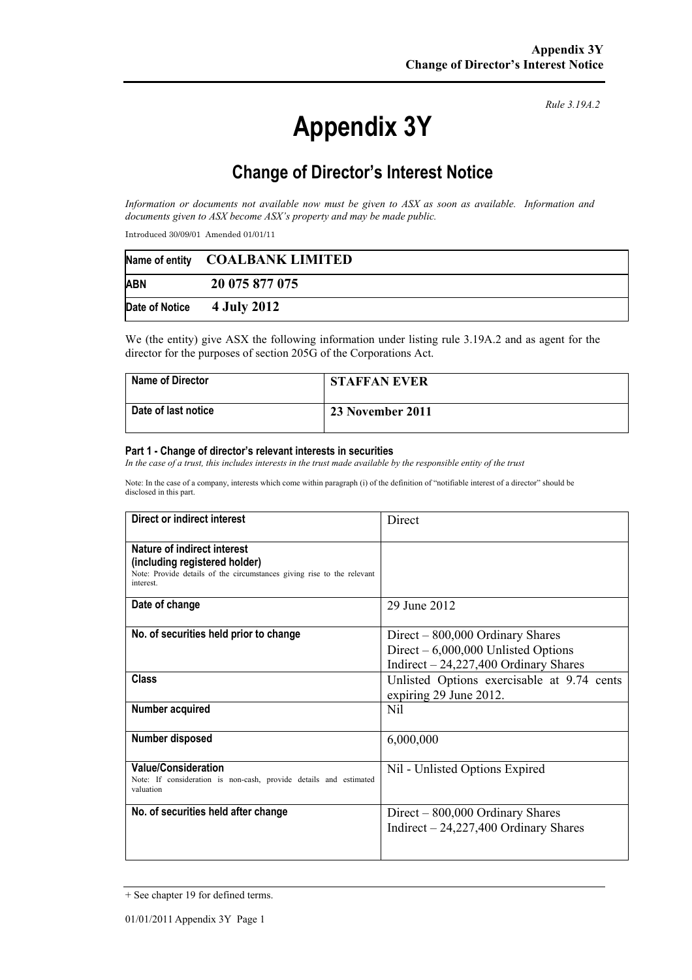# **Appendix 3Y**

*Rule 3.19A.2*

# **Change of Director's Interest Notice**

*Information or documents not available now must be given to ASX as soon as available. Information and documents given to ASX become ASX's property and may be made public.* 

Introduced 30/09/01 Amended 01/01/11

|                              | Name of entity COALBANK LIMITED |
|------------------------------|---------------------------------|
| <b>ABN</b>                   | 20 075 877 075                  |
| Date of Notice $4$ July 2012 |                                 |

We (the entity) give ASX the following information under listing rule 3.19A.2 and as agent for the director for the purposes of section 205G of the Corporations Act.

| <b>Name of Director</b> | <b>STAFFAN EVER</b> |
|-------------------------|---------------------|
| Date of last notice     | 23 November 2011    |

#### **Part 1 - Change of director's relevant interests in securities**

*In the case of a trust, this includes interests in the trust made available by the responsible entity of the trust* 

Note: In the case of a company, interests which come within paragraph (i) of the definition of "notifiable interest of a director" should be disclosed in this part.

| Direct or indirect interest                                                                                                                        | Direct                                                                                                               |
|----------------------------------------------------------------------------------------------------------------------------------------------------|----------------------------------------------------------------------------------------------------------------------|
| Nature of indirect interest<br>(including registered holder)<br>Note: Provide details of the circumstances giving rise to the relevant<br>interest |                                                                                                                      |
| Date of change                                                                                                                                     | 29 June 2012                                                                                                         |
| No. of securities held prior to change                                                                                                             | $Direct - 800,000$ Ordinary Shares<br>Direct $-6,000,000$ Unlisted Options<br>Indirect $-24,227,400$ Ordinary Shares |
| Class                                                                                                                                              | Unlisted Options exercisable at 9.74 cents<br>expiring 29 June 2012.                                                 |
| Number acquired                                                                                                                                    | Nil                                                                                                                  |
| Number disposed                                                                                                                                    | 6,000,000                                                                                                            |
| <b>Value/Consideration</b><br>Note: If consideration is non-cash, provide details and estimated<br>valuation                                       | Nil - Unlisted Options Expired                                                                                       |
| No. of securities held after change                                                                                                                | $Direct - 800,000$ Ordinary Shares<br>Indirect $-24,227,400$ Ordinary Shares                                         |

<sup>+</sup> See chapter 19 for defined terms.